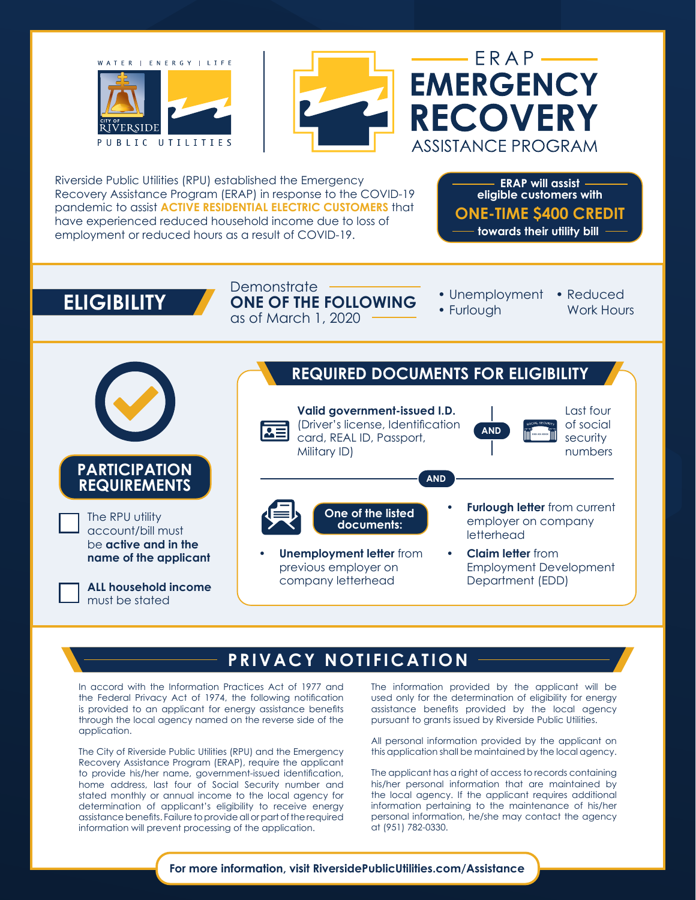



 $ERAP$ **EMERGENCY RECOVERY** ASSISTANCE PROGRAM

Riverside Public Utilities (RPU) established the Emergency Recovery Assistance Program (ERAP) in response to the COVID-19 pandemic to assist **ACTIVE RESIDENTIAL ELECTRIC CUSTOMERS** that have experienced reduced household income due to loss of employment or reduced hours as a result of COVID-19.

**ONE-TIME \$400 CREDIT towards their utility bill ERAP will assist eligible customers with**

**ELIGIBILITY** ONE OF THE FOLLOWING : Unemployment **Demonstrate** as of March 1, 2020  $-$ 

- Unemployment Reduced
- Furlough
- Work Hours



## **PRIVACY NOTIFICATION**

In accord with the Information Practices Act of 1977 and the Federal Privacy Act of 1974, the following notification is provided to an applicant for energy assistance benefits through the local agency named on the reverse side of the application.

The City of Riverside Public Utilities (RPU) and the Emergency Recovery Assistance Program (ERAP), require the applicant to provide his/her name, government-issued identification, home address, last four of Social Security number and stated monthly or annual income to the local agency for determination of applicant's eligibility to receive energy assistance benefits. Failure to provide all or part of the required information will prevent processing of the application.

The information provided by the applicant will be used only for the determination of eligibility for energy assistance benefits provided by the local agency pursuant to grants issued by Riverside Public Utilities.

All personal information provided by the applicant on this application shall be maintained by the local agency.

The applicant has a right of access to records containing his/her personal information that are maintained by the local agency. If the applicant requires additional information pertaining to the maintenance of his/her personal information, he/she may contact the agency at (951) 782-0330.

**For more information, visit RiversidePublicUtilities.com/Assistance**